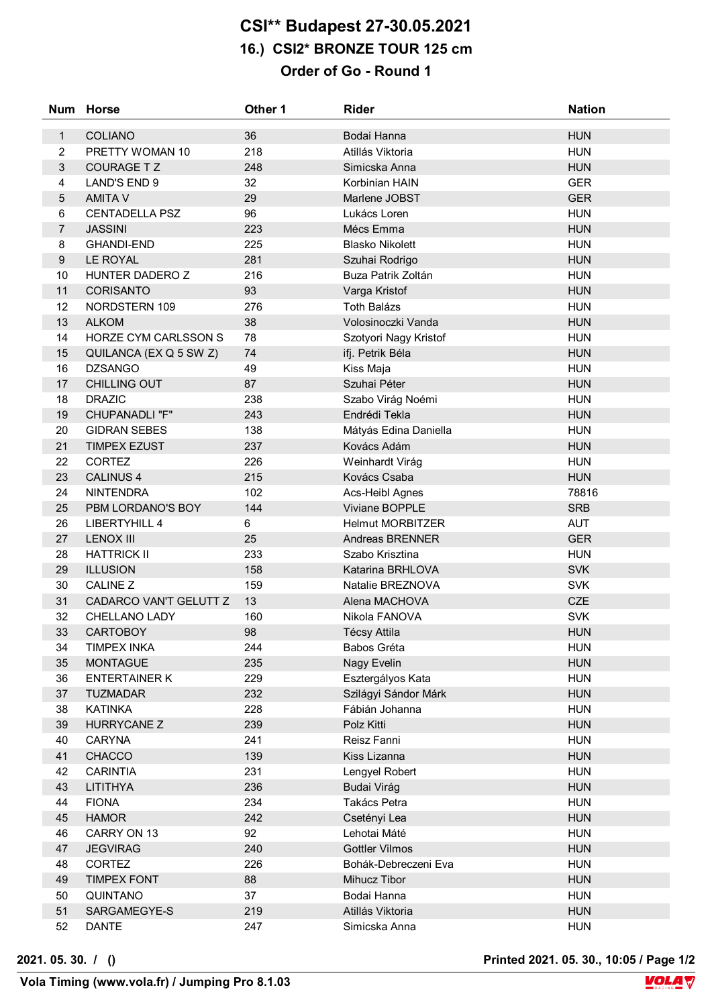## **CSI\*\* Budapest 27-30.05.2021 16.) CSI2\* BRONZE TOUR 125 cm Order of Go - Round 1**

| <b>Num</b>       | <b>Horse</b>           | Other 1 | <b>Rider</b>            | <b>Nation</b> |
|------------------|------------------------|---------|-------------------------|---------------|
| $\mathbf{1}$     | <b>COLIANO</b>         | 36      | Bodai Hanna             | <b>HUN</b>    |
| $\overline{2}$   | PRETTY WOMAN 10        | 218     | Atillás Viktoria        | <b>HUN</b>    |
| $\mathbf{3}$     | <b>COURAGE TZ</b>      | 248     | Simicska Anna           | <b>HUN</b>    |
| $\overline{4}$   | LAND'S END 9           | 32      | Korbinian HAIN          | <b>GER</b>    |
| 5                | <b>AMITA V</b>         | 29      | Marlene JOBST           | <b>GER</b>    |
| $\,6\,$          | <b>CENTADELLA PSZ</b>  | 96      | Lukács Loren            | <b>HUN</b>    |
| $\overline{7}$   | <b>JASSINI</b>         | 223     | Mécs Emma               | <b>HUN</b>    |
| 8                | <b>GHANDI-END</b>      | 225     | <b>Blasko Nikolett</b>  | <b>HUN</b>    |
| $\boldsymbol{9}$ | <b>LE ROYAL</b>        | 281     | Szuhai Rodrigo          | <b>HUN</b>    |
| 10               | HUNTER DADERO Z        | 216     | Buza Patrik Zoltán      | <b>HUN</b>    |
| 11               | <b>CORISANTO</b>       | 93      | Varga Kristof           | <b>HUN</b>    |
| 12               | NORDSTERN 109          | 276     | <b>Toth Balázs</b>      | <b>HUN</b>    |
| 13               | <b>ALKOM</b>           | 38      | Volosinoczki Vanda      | <b>HUN</b>    |
| 14               | HORZE CYM CARLSSON S   | 78      | Szotyori Nagy Kristof   | <b>HUN</b>    |
| 15               | QUILANCA (EX Q 5 SW Z) | 74      | ifj. Petrik Béla        | <b>HUN</b>    |
| 16               | <b>DZSANGO</b>         | 49      | Kiss Maja               | <b>HUN</b>    |
| 17               | <b>CHILLING OUT</b>    | 87      | Szuhai Péter            | <b>HUN</b>    |
| 18               | <b>DRAZIC</b>          | 238     | Szabo Virág Noémi       | <b>HUN</b>    |
| 19               | <b>CHUPANADLI "F"</b>  | 243     | Endrédi Tekla           | <b>HUN</b>    |
| 20               | <b>GIDRAN SEBES</b>    | 138     | Mátyás Edina Daniella   | <b>HUN</b>    |
| 21               | <b>TIMPEX EZUST</b>    | 237     | Kovács Adám             | <b>HUN</b>    |
| 22               | <b>CORTEZ</b>          | 226     | Weinhardt Virág         | <b>HUN</b>    |
| 23               | <b>CALINUS 4</b>       | 215     | Kovács Csaba            | <b>HUN</b>    |
| 24               | <b>NINTENDRA</b>       | 102     | Acs-Heibl Agnes         | 78816         |
| 25               | PBM LORDANO'S BOY      | 144     | Viviane BOPPLE          | <b>SRB</b>    |
| 26               | <b>LIBERTYHILL 4</b>   | 6       | <b>Helmut MORBITZER</b> | <b>AUT</b>    |
| 27               | <b>LENOX III</b>       | 25      | Andreas BRENNER         | <b>GER</b>    |
| 28               | <b>HATTRICK II</b>     | 233     | Szabo Krisztina         | <b>HUN</b>    |
| 29               | <b>ILLUSION</b>        | 158     | Katarina BRHLOVA        | <b>SVK</b>    |
| 30               | <b>CALINE Z</b>        | 159     | Natalie BREZNOVA        | <b>SVK</b>    |
| 31               | CADARCO VAN'T GELUTT Z | 13      | Alena MACHOVA           | CZE           |
| 32               | CHELLANO LADY          | 160     | Nikola FANOVA           | <b>SVK</b>    |
| 33               | <b>CARTOBOY</b>        | 98      | <b>Técsy Attila</b>     | <b>HUN</b>    |
| 34               | <b>TIMPEX INKA</b>     | 244     | Babos Gréta             | <b>HUN</b>    |
| 35               | <b>MONTAGUE</b>        | 235     | Nagy Evelin             | <b>HUN</b>    |
| 36               | <b>ENTERTAINER K</b>   | 229     | Esztergályos Kata       | <b>HUN</b>    |
| 37               | <b>TUZMADAR</b>        | 232     | Szilágyi Sándor Márk    | <b>HUN</b>    |
| 38               | <b>KATINKA</b>         | 228     | Fábián Johanna          | <b>HUN</b>    |
| 39               | <b>HURRYCANE Z</b>     | 239     | Polz Kitti              | <b>HUN</b>    |
| 40               | <b>CARYNA</b>          | 241     | Reisz Fanni             | <b>HUN</b>    |
| 41               | CHACCO                 | 139     | Kiss Lizanna            | <b>HUN</b>    |
| 42               | <b>CARINTIA</b>        | 231     | Lengyel Robert          | <b>HUN</b>    |
| 43               | LITITHYA               | 236     | <b>Budai Virág</b>      | <b>HUN</b>    |
| 44               | <b>FIONA</b>           | 234     | Takács Petra            | <b>HUN</b>    |
| 45               | <b>HAMOR</b>           | 242     | Csetényi Lea            | <b>HUN</b>    |
| 46               | CARRY ON 13            | 92      | Lehotai Máté            | <b>HUN</b>    |
| 47               | <b>JEGVIRAG</b>        | 240     | <b>Gottler Vilmos</b>   | <b>HUN</b>    |
| 48               | <b>CORTEZ</b>          | 226     | Bohák-Debreczeni Eva    | <b>HUN</b>    |
| 49               | <b>TIMPEX FONT</b>     | 88      | Mihucz Tibor            | <b>HUN</b>    |
| 50               | QUINTANO               | 37      | Bodai Hanna             | <b>HUN</b>    |
| 51               | SARGAMEGYE-S           | 219     | Atillás Viktoria        | <b>HUN</b>    |
| 52               | <b>DANTE</b>           | 247     | Simicska Anna           | <b>HUN</b>    |

**2021. 05. 30. / () Printed 2021. 05. 30., 10:05 / Page 1/2**